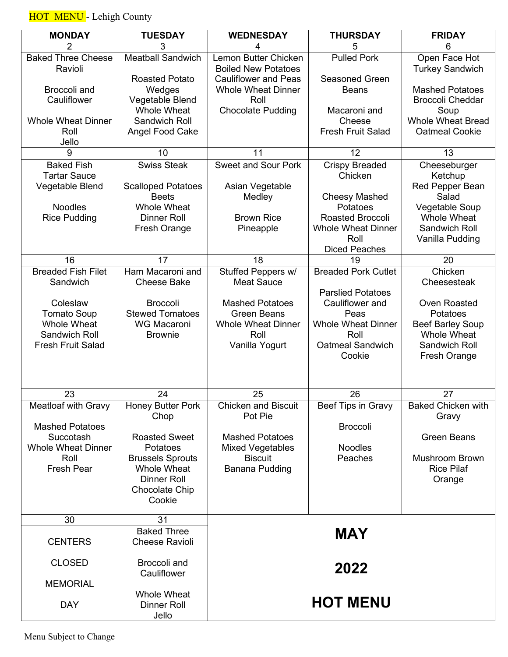HOT MENU - Lehigh County

| <b>MONDAY</b>                                                                                                               | <b>TUESDAY</b>                                                                                                                                                          | <b>WEDNESDAY</b>                                                                                                                      | <b>THURSDAY</b>                                                                                                   | <b>FRIDAY</b>                                                                                                     |
|-----------------------------------------------------------------------------------------------------------------------------|-------------------------------------------------------------------------------------------------------------------------------------------------------------------------|---------------------------------------------------------------------------------------------------------------------------------------|-------------------------------------------------------------------------------------------------------------------|-------------------------------------------------------------------------------------------------------------------|
| 2                                                                                                                           | 3                                                                                                                                                                       | 4                                                                                                                                     | 5                                                                                                                 | 6                                                                                                                 |
| <b>Baked Three Cheese</b><br>Ravioli                                                                                        | <b>Meatball Sandwich</b>                                                                                                                                                | Lemon Butter Chicken<br><b>Boiled New Potatoes</b>                                                                                    | <b>Pulled Pork</b>                                                                                                | Open Face Hot<br><b>Turkey Sandwich</b>                                                                           |
| Broccoli and<br>Cauliflower                                                                                                 | <b>Roasted Potato</b><br>Wedges<br>Vegetable Blend<br><b>Whole Wheat</b>                                                                                                | <b>Cauliflower and Peas</b><br><b>Whole Wheat Dinner</b><br>Roll<br><b>Chocolate Pudding</b>                                          | <b>Seasoned Green</b><br><b>Beans</b><br>Macaroni and                                                             | <b>Mashed Potatoes</b><br><b>Broccoli Cheddar</b><br>Soup                                                         |
| <b>Whole Wheat Dinner</b><br>Roll<br>Jello                                                                                  | Sandwich Roll<br>Angel Food Cake                                                                                                                                        |                                                                                                                                       | Cheese<br><b>Fresh Fruit Salad</b>                                                                                | <b>Whole Wheat Bread</b><br><b>Oatmeal Cookie</b>                                                                 |
| 9                                                                                                                           | 10                                                                                                                                                                      | 11                                                                                                                                    | 12                                                                                                                | 13                                                                                                                |
| <b>Baked Fish</b><br><b>Tartar Sauce</b><br>Vegetable Blend                                                                 | <b>Swiss Steak</b><br><b>Scalloped Potatoes</b>                                                                                                                         | <b>Sweet and Sour Pork</b><br>Asian Vegetable                                                                                         | <b>Crispy Breaded</b><br>Chicken                                                                                  | Cheeseburger<br>Ketchup<br><b>Red Pepper Bean</b>                                                                 |
| <b>Noodles</b><br><b>Rice Pudding</b>                                                                                       | <b>Beets</b><br><b>Whole Wheat</b><br><b>Dinner Roll</b><br><b>Fresh Orange</b>                                                                                         | Medley<br><b>Brown Rice</b><br>Pineapple                                                                                              | <b>Cheesy Mashed</b><br>Potatoes<br>Roasted Broccoli<br><b>Whole Wheat Dinner</b><br>Roll<br><b>Diced Peaches</b> | Salad<br>Vegetable Soup<br>Whole Wheat<br>Sandwich Roll<br>Vanilla Pudding                                        |
| 16                                                                                                                          | 17                                                                                                                                                                      | 18                                                                                                                                    | 19                                                                                                                | 20                                                                                                                |
| <b>Breaded Fish Filet</b><br>Sandwich                                                                                       | Ham Macaroni and<br><b>Cheese Bake</b>                                                                                                                                  | Stuffed Peppers w/<br><b>Meat Sauce</b>                                                                                               | <b>Breaded Pork Cutlet</b><br><b>Parslied Potatoes</b>                                                            | Chicken<br>Cheesesteak                                                                                            |
| Coleslaw<br><b>Tomato Soup</b><br>Whole Wheat<br>Sandwich Roll<br><b>Fresh Fruit Salad</b>                                  | <b>Broccoli</b><br><b>Stewed Tomatoes</b><br><b>WG Macaroni</b><br><b>Brownie</b>                                                                                       | <b>Mashed Potatoes</b><br><b>Green Beans</b><br><b>Whole Wheat Dinner</b><br>Roll<br>Vanilla Yogurt                                   | Cauliflower and<br>Peas<br><b>Whole Wheat Dinner</b><br>Roll<br><b>Oatmeal Sandwich</b><br>Cookie                 | <b>Oven Roasted</b><br>Potatoes<br><b>Beef Barley Soup</b><br><b>Whole Wheat</b><br>Sandwich Roll<br>Fresh Orange |
| 23                                                                                                                          | 24                                                                                                                                                                      | 25                                                                                                                                    | 26                                                                                                                | 27                                                                                                                |
| <b>Meatloaf with Gravy</b><br><b>Mashed Potatoes</b><br>Succotash<br><b>Whole Wheat Dinner</b><br>Roll<br><b>Fresh Pear</b> | <b>Honey Butter Pork</b><br>Chop<br><b>Roasted Sweet</b><br>Potatoes<br><b>Brussels Sprouts</b><br><b>Whole Wheat</b><br><b>Dinner Roll</b><br>Chocolate Chip<br>Cookie | <b>Chicken and Biscuit</b><br>Pot Pie<br><b>Mashed Potatoes</b><br><b>Mixed Vegetables</b><br><b>Biscuit</b><br><b>Banana Pudding</b> | Beef Tips in Gravy<br><b>Broccoli</b><br><b>Noodles</b><br>Peaches                                                | <b>Baked Chicken with</b><br>Gravy<br><b>Green Beans</b><br><b>Mushroom Brown</b><br><b>Rice Pilaf</b><br>Orange  |
| 30                                                                                                                          | 31                                                                                                                                                                      |                                                                                                                                       |                                                                                                                   |                                                                                                                   |
| <b>CENTERS</b>                                                                                                              | <b>Baked Three</b><br><b>Cheese Ravioli</b>                                                                                                                             |                                                                                                                                       | <b>MAY</b>                                                                                                        |                                                                                                                   |
| <b>CLOSED</b>                                                                                                               | Broccoli and<br>Cauliflower                                                                                                                                             |                                                                                                                                       | 2022                                                                                                              |                                                                                                                   |
| <b>MEMORIAL</b><br><b>DAY</b>                                                                                               | <b>Whole Wheat</b><br><b>Dinner Roll</b><br>Jello                                                                                                                       |                                                                                                                                       | <b>HOT MENU</b>                                                                                                   |                                                                                                                   |